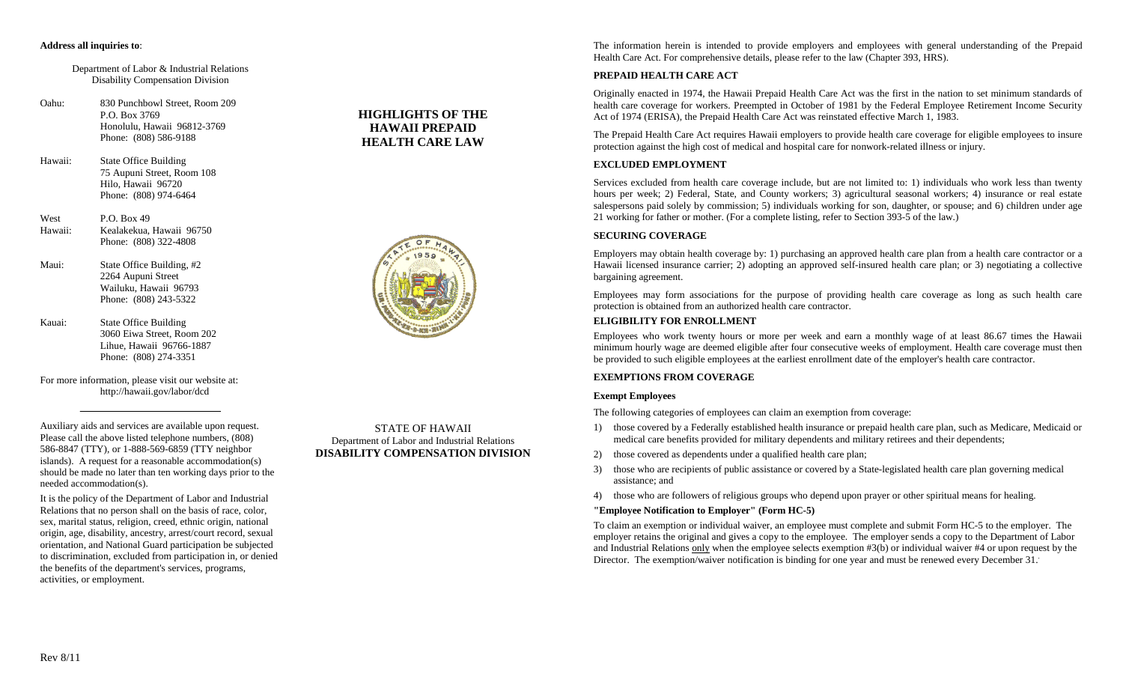## **Address all inquiries to**:

Department of Labor & Industrial Relations Disability Compensation Division

Oahu: 830 Punchbowl Street, Room 209 P.O. Box 3769 Honolulu, Hawaii 96812-3769 Phone: (808) 586-9188

Hawaii: State Office Building 75 Aupuni Street, Room 108 Hilo, Hawaii 96720 Phone: (808) 974-6464

West P.O. Box 49 Hawaii: Kealakekua, Hawaii 96750 Phone: (808) 322-4808

Maui: State Office Building, #2 2264 Aupuni Street Wailuku, Hawaii 96793 Phone: (808) 243-5322

Kauai: State Office Building 3060 Eiwa Street, Room 202 Lihue, Hawaii 96766-1887 Phone: (808) 274-3351

For more information, please visit our website at: http://hawaii.gov/labor/dcd

Auxiliary aids and services are available upon request. Please call the above listed telephone numbers, (808) 586-8847 (TTY), or 1-888-569-6859 (TTY neighbor islands). A request for a reasonable accommodation(s) should be made no later than ten working days prior to the needed accommodation(s).

It is the policy of the Department of Labor and Industrial Relations that no person shall on the basis of race, color, sex, marital status, religion, creed, ethnic origin, national origin, age, disability, ancestry, arrest/court record, sexual orientation, and National Guard participation be subjected to discrimination, excluded from participation in, or denied the benefits of the department's services, programs, activities, or employment.



**HIGHLIGHTS OF THE HAWAII PREPAID HEALTH CARE LAW**

# STATE OF HAWAII Department of Labor and Industrial Relations **DISABILITY COMPENSATION DIVISION**

The information herein is intended to provide employers and employees with general understanding of the Prepaid Health Care Act. For comprehensive details, please refer to the law (Chapter 393, HRS).

# **PREPAID HEALTH CARE ACT**

Originally enacted in 1974, the Hawaii Prepaid Health Care Act was the first in the nation to set minimum standards of health care coverage for workers. Preempted in October of 1981 by the Federal Employee Retirement Income Security Act of 1974 (ERISA), the Prepaid Health Care Act was reinstated effective March 1, 1983.

The Prepaid Health Care Act requires Hawaii employers to provide health care coverage for eligible employees to insure protection against the high cost of medical and hospital care for nonwork-related illness or injury.

# **EXCLUDED EMPLOYMENT**

Services excluded from health care coverage include, but are not limited to: 1) individuals who work less than twenty hours per week; 2) Federal, State, and County workers; 3) agricultural seasonal workers; 4) insurance or real estate salespersons paid solely by commission; 5) individuals working for son, daughter, or spouse; and 6) children under age 21 working for father or mother. (For a complete listing, refer to Section 393-5 of the law.)

# **SECURING COVERAGE**

Employers may obtain health coverage by: 1) purchasing an approved health care plan from a health care contractor or a Hawaii licensed insurance carrier; 2) adopting an approved self-insured health care plan; or 3) negotiating a collective bargaining agreement.

Employees may form associations for the purpose of providing health care coverage as long as such health care protection is obtained from an authorized health care contractor.

## **ELIGIBILITY FOR ENROLLMENT**

Employees who work twenty hours or more per week and earn a monthly wage of at least 86.67 times the Hawaii minimum hourly wage are deemed eligible after four consecutive weeks of employment. Health care coverage must then be provided to such eligible employees at the earliest enrollment date of the employer's health care contractor.

# **EXEMPTIONS FROM COVERAGE**

## **Exempt Employees**

The following categories of employees can claim an exemption from coverage:

- 1) those covered by a Federally established health insurance or prepaid health care plan, such as Medicare, Medicaid or medical care benefits provided for military dependents and military retirees and their dependents;
- 2) those covered as dependents under a qualified health care plan;
- 3) those who are recipients of public assistance or covered by a State-legislated health care plan governing medical assistance; and
- 4) those who are followers of religious groups who depend upon prayer or other spiritual means for healing.

## **"Employee Notification to Employer" (Form HC-5)**

To claim an exemption or individual waiver, an employee must complete and submit Form HC-5 to the employer. The employer retains the original and gives a copy to the employee. The employer sends a copy to the Department of Labor and Industrial Relations only when the employee selects exemption #3(b) or individual waiver #4 or upon request by the Director. The exemption/waiver notification is binding for one year and must be renewed every December 31.